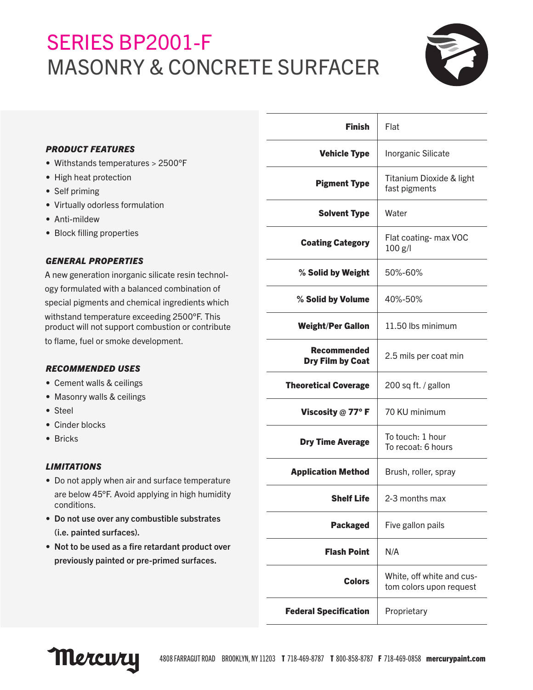# SERIES BP2001-F MASONRY & CONCRETE SURFACER



|                                                                                                                                                                                                                                                                                                                                                                                                                                                      | <b>Finish</b>                          | Flat                                                 |
|------------------------------------------------------------------------------------------------------------------------------------------------------------------------------------------------------------------------------------------------------------------------------------------------------------------------------------------------------------------------------------------------------------------------------------------------------|----------------------------------------|------------------------------------------------------|
| <b>PRODUCT FEATURES</b>                                                                                                                                                                                                                                                                                                                                                                                                                              | <b>Vehicle Type</b>                    | Inorganic Silicate                                   |
| • Withstands temperatures > 2500°F<br>• High heat protection<br>• Self priming<br>• Virtually odorless formulation<br>• Anti-mildew                                                                                                                                                                                                                                                                                                                  | <b>Pigment Type</b>                    | Titanium Dioxide & light<br>fast pigments            |
|                                                                                                                                                                                                                                                                                                                                                                                                                                                      | <b>Solvent Type</b>                    | Water                                                |
| • Block filling properties                                                                                                                                                                                                                                                                                                                                                                                                                           | <b>Coating Category</b>                | Flat coating- max VOC<br>$100$ g/l                   |
| <b>GENERAL PROPERTIES</b><br>A new generation inorganic silicate resin technol-<br>ogy formulated with a balanced combination of<br>special pigments and chemical ingredients which<br>withstand temperature exceeding 2500°F. This<br>product will not support combustion or contribute<br>to flame, fuel or smoke development.<br><b>RECOMMENDED USES</b><br>• Cement walls & ceilings<br>• Masonry walls & ceilings<br>• Steel<br>• Cinder blocks | % Solid by Weight                      | 50%-60%                                              |
|                                                                                                                                                                                                                                                                                                                                                                                                                                                      | % Solid by Volume                      | 40%-50%                                              |
|                                                                                                                                                                                                                                                                                                                                                                                                                                                      | <b>Weight/Per Gallon</b>               | 11.50 lbs minimum                                    |
|                                                                                                                                                                                                                                                                                                                                                                                                                                                      | <b>Recommended</b><br>Dry Film by Coat | 2.5 mils per coat min                                |
|                                                                                                                                                                                                                                                                                                                                                                                                                                                      | <b>Theoretical Coverage</b>            | 200 sq ft. / gallon                                  |
|                                                                                                                                                                                                                                                                                                                                                                                                                                                      | Viscosity $@$ 77° F                    | 70 KU minimum                                        |
| • Bricks                                                                                                                                                                                                                                                                                                                                                                                                                                             | <b>Dry Time Average</b>                | To touch: 1 hour<br>To recoat: 6 hours               |
| <b>LIMITATIONS</b><br>• Do not apply when air and surface temperature                                                                                                                                                                                                                                                                                                                                                                                | <b>Application Method</b>              | Brush, roller, spray                                 |
| are below 45°F. Avoid applying in high humidity<br>conditions.                                                                                                                                                                                                                                                                                                                                                                                       | <b>Shelf Life</b>                      | 2-3 months max                                       |
| • Do not use over any combustible substrates<br>(i.e. painted surfaces).                                                                                                                                                                                                                                                                                                                                                                             | <b>Packaged</b>                        | Five gallon pails                                    |
| • Not to be used as a fire retardant product over<br>previously painted or pre-primed surfaces.                                                                                                                                                                                                                                                                                                                                                      | <b>Flash Point</b>                     | N/A                                                  |
|                                                                                                                                                                                                                                                                                                                                                                                                                                                      | <b>Colors</b>                          | White, off white and cus-<br>tom colors upon request |
|                                                                                                                                                                                                                                                                                                                                                                                                                                                      | <b>Federal Specification</b>           | Proprietary                                          |